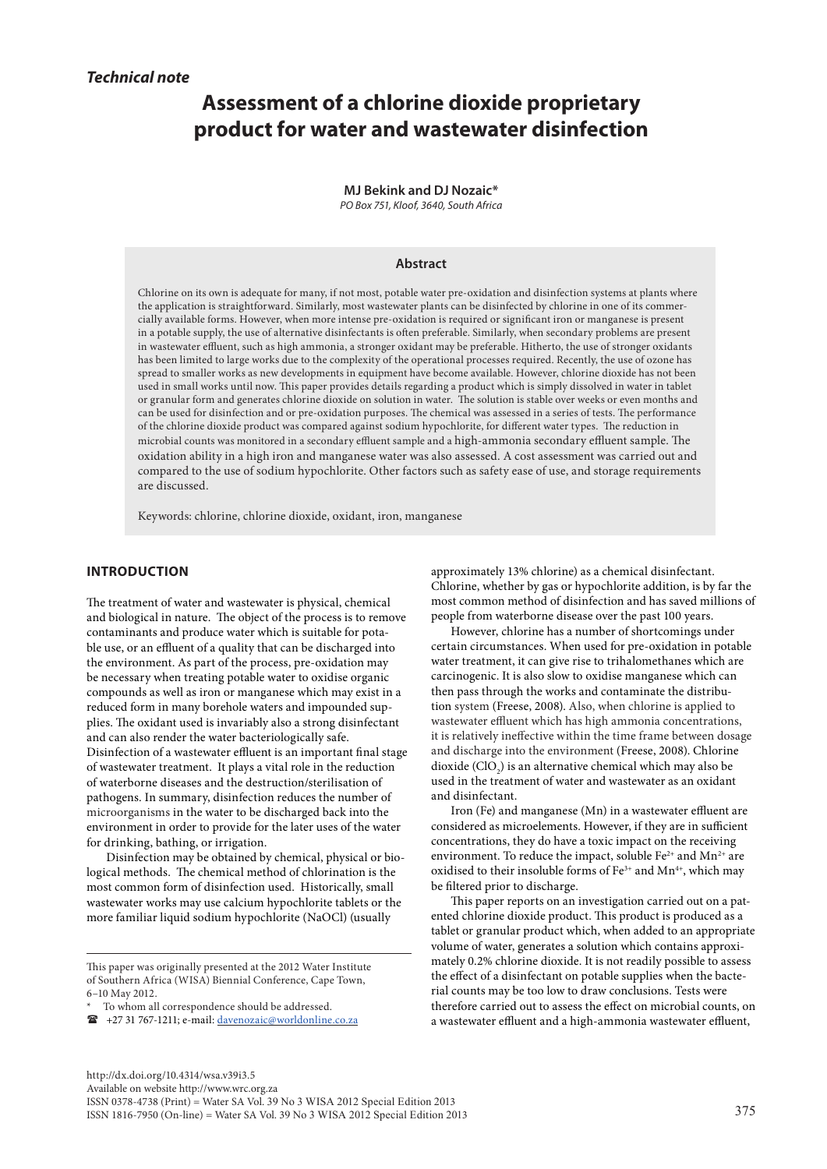# **Assessment of a chlorine dioxide proprietary product for water and wastewater disinfection**

#### **MJ Bekink and DJ Nozaic\*** *PO Box 751, Kloof, 3640, South Africa*

## **Abstract**

Chlorine on its own is adequate for many, if not most, potable water pre-oxidation and disinfection systems at plants where the application is straightforward. Similarly, most wastewater plants can be disinfected by chlorine in one of its commercially available forms. However, when more intense pre-oxidation is required or significant iron or manganese is present in a potable supply, the use of alternative disinfectants is often preferable. Similarly, when secondary problems are present in wastewater effluent, such as high ammonia, a stronger oxidant may be preferable. Hitherto, the use of stronger oxidants has been limited to large works due to the complexity of the operational processes required. Recently, the use of ozone has spread to smaller works as new developments in equipment have become available. However, chlorine dioxide has not been used in small works until now. This paper provides details regarding a product which is simply dissolved in water in tablet or granular form and generates chlorine dioxide on solution in water. The solution is stable over weeks or even months and can be used for disinfection and or pre-oxidation purposes. The chemical was assessed in a series of tests. The performance of the chlorine dioxide product was compared against sodium hypochlorite, for different water types. The reduction in microbial counts was monitored in a secondary effluent sample and a high-ammonia secondary effluent sample. The oxidation ability in a high iron and manganese water was also assessed. A cost assessment was carried out and compared to the use of sodium hypochlorite. Other factors such as safety ease of use, and storage requirements are discussed.

Keywords: chlorine, chlorine dioxide, oxidant, iron, manganese

# **INTRODUCTION**

The treatment of water and wastewater is physical, chemical and biological in nature. The object of the process is to remove contaminants and produce water which is suitable for potable use, or an effluent of a quality that can be discharged into the environment. As part of the process, pre-oxidation may be necessary when treating potable water to oxidise organic compounds as well as iron or manganese which may exist in a reduced form in many borehole waters and impounded supplies. The oxidant used is invariably also a strong disinfectant and can also render the water bacteriologically safe. Disinfection of a wastewater effluent is an important final stage of wastewater treatment. It plays a vital role in the reduction of waterborne diseases and the destruction/sterilisation of pathogens. In summary, disinfection reduces the number of [microorganisms](http://en.wikipedia.org/wiki/Microorganism) in the water to be discharged back into the environment in order to provide for the later uses of the water for drinking, bathing, or irrigation.

Disinfection may be obtained by chemical, physical or biological methods. The chemical method of chlorination is the most common form of disinfection used. Historically, small wastewater works may use calcium hypochlorite tablets or the more familiar liquid sodium hypochlorite (NaOCl) (usually

approximately 13% chlorine) as a chemical disinfectant. Chlorine, whether by gas or hypochlorite addition, is by far the most common method of disinfection and has saved millions of people from waterborne disease over the past 100 years.

However, chlorine has a number of shortcomings under certain circumstances. When used for pre-oxidation in potable water treatment, it can give rise to trihalomethanes which are carcinogenic. It is also slow to oxidise manganese which can then pass through the works and contaminate the distribution system (Freese, 2008). Also, when chlorine is applied to wastewater effluent which has high ammonia concentrations, it is relatively ineffective within the time frame between dosage and discharge into the environment (Freese, 2008). Chlorine dioxide  $\text{(ClO}_2)$  is an alternative chemical which may also be used in the treatment of water and wastewater as an oxidant and disinfectant.

Iron (Fe) and manganese (Mn) in a wastewater effluent are considered as microelements. However, if they are in sufficient concentrations, they do have a toxic impact on the receiving environment. To reduce the impact, soluble Fe<sup>2+</sup> and Mn<sup>2+</sup> are oxidised to their insoluble forms of  $Fe^{3+}$  and  $Mn^{4+}$ , which may be filtered prior to discharge.

This paper reports on an investigation carried out on a patented chlorine dioxide product. This product is produced as a tablet or granular product which, when added to an appropriate volume of water, generates a solution which contains approximately 0.2% chlorine dioxide. It is not readily possible to assess the effect of a disinfectant on potable supplies when the bacterial counts may be too low to draw conclusions. Tests were therefore carried out to assess the effect on microbial counts, on a wastewater effluent and a high-ammonia wastewater effluent,

This paper was originally presented at the 2012 Water Institute of Southern Africa (WISA) Biennial Conference, Cape Town, 6–10 May 2012.

To whom all correspondence should be addressed.

+27 31 767-1211; e-mail: [davenozaic@worldonline.co.za](mailto:davenozaic@worldonline.co.za)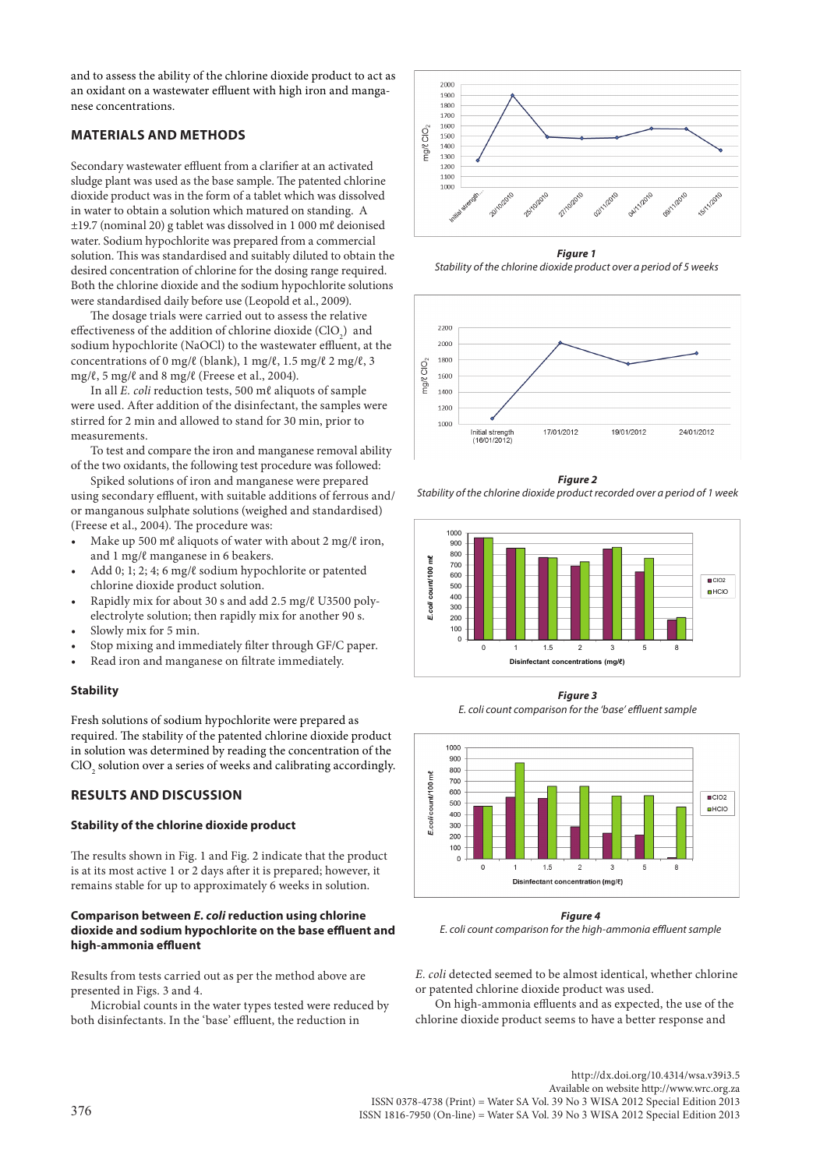and to assess the ability of the chlorine dioxide product to act as an oxidant on a wastewater effluent with high iron and manganese concentrations.

## **MATERIALS AND METHODS**

Secondary wastewater effluent from a clarifier at an activated sludge plant was used as the base sample. The patented chlorine dioxide product was in the form of a tablet which was dissolved in water to obtain a solution which matured on standing. A ±19.7 (nominal 20) g tablet was dissolved in 1 000 mℓ deionised water. Sodium hypochlorite was prepared from a commercial solution. This was standardised and suitably diluted to obtain the desired concentration of chlorine for the dosing range required. Both the chlorine dioxide and the sodium hypochlorite solutions were standardised daily before use (Leopold et al., 2009).

The dosage trials were carried out to assess the relative effectiveness of the addition of chlorine dioxide  ${\rm (ClO_2)}$  and sodium hypochlorite (NaOCl) to the wastewater effluent, at the concentrations of 0 mg/ℓ (blank), 1 mg/ℓ, 1.5 mg/ℓ 2 mg/ℓ, 3 mg/ℓ, 5 mg/ℓ and 8 mg/ℓ (Freese et al., 2004).

In all *E. coli* reduction tests, 500 mℓ aliquots of sample were used. After addition of the disinfectant, the samples were stirred for 2 min and allowed to stand for 30 min, prior to measurements.

To test and compare the iron and manganese removal ability of the two oxidants, the following test procedure was followed:

Spiked solutions of iron and manganese were prepared using secondary effluent, with suitable additions of ferrous and/ or manganous sulphate solutions (weighed and standardised) (Freese et al., 2004). The procedure was:

- Make up 500 mℓ aliquots of water with about 2 mg/ℓ iron, and 1 mg/ℓ manganese in 6 beakers.
- Add 0; 1; 2; 4; 6 mg/ $\ell$  sodium hypochlorite or patented chlorine dioxide product solution.
- Rapidly mix for about 30 s and add 2.5 mg/ℓ U3500 polyelectrolyte solution; then rapidly mix for another 90 s.
- Slowly mix for 5 min.
- Stop mixing and immediately filter through GF/C paper.
- Read iron and manganese on filtrate immediately.

### **Stability**

Fresh solutions of sodium hypochlorite were prepared as required. The stability of the patented chlorine dioxide product in solution was determined by reading the concentration of the  $\mathrm{ClO}_2$  solution over a series of weeks and calibrating accordingly.

### **RESULTS AND DISCUSSION**

### **Stability of the chlorine dioxide product**

The results shown in Fig. 1 and Fig. 2 indicate that the product is at its most active 1 or 2 days after it is prepared; however, it remains stable for up to approximately 6 weeks in solution.

#### **Comparison between** *E. coli* **reduction using chlorine dioxide and sodium hypochlorite on the base effluent and high-ammonia effluent**

Results from tests carried out as per the method above are presented in Figs. 3 and 4.

Microbial counts in the water types tested were reduced by both disinfectants. In the 'base' effluent, the reduction in



*Figure 1 Stability of the chlorine dioxide product over a period of 5 weeks*



*Figure 2*

*Stability of the chlorine dioxide product recorded over a period of 1 week*



*Figure 3 E. coli count comparison for the 'base' effluent sample*



*Figure 4 E. coli count comparison for the high-ammonia effluent sample*

*E. coli* detected seemed to be almost identical, whether chlorine or patented chlorine dioxide product was used.

On high-ammonia effluents and as expected, the use of the chlorine dioxide product seems to have a better response and